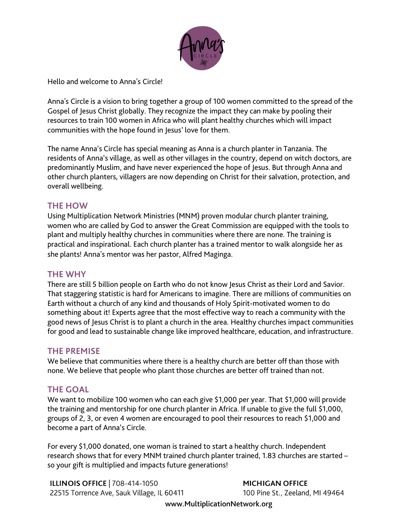

Hello and welcome to Anna's Circle!

Anna's Circle is a vision to bring together a group of 100 women committed to the spread of the Gospel of Jesus Christ globally. They recognize the impact they can make by pooling their resources to train 100 women in Africa who will plant healthy churches which will impact communities with the hope found in Jesus' love for them.

The name Anna's Circle has special meaning as Anna is a church planter in Tanzania. The residents of Anna's village, as well as other villages in the country, depend on witch doctors, are predominantly Muslim, and have never experienced the hope of Jesus. But through Anna and other church planters, villagers are now depending on Christ for their salvation, protection, and overall wellbeing.

### **THE HOW**

Using Multiplication Network Ministries (MNM) proven modular church planter training, women who are called by God to answer the Great Commission are equipped with the tools to plant and multiply healthy churches in communities where there are none. The training is practical and inspirational. Each church planter has a trained mentor to walk alongside her as she plants! Anna's mentor was her pastor, Alfred Maginga.

### **THE WHY**

There are still 5 billion people on Earth who do not know Jesus Christ as their Lord and Savior. That staggering statistic is hard for Americans to imagine. There are millions of communities on Earth without a church of any kind and thousands of Holy Spirit-motivated women to do something about it! Experts agree that the most effective way to reach a community with the good news of Jesus Christ is to plant a church in the area. Healthy churches impact communities for good and lead to sustainable change like improved healthcare, education, and infrastructure.

## **THE PREMISE**

We believe that communities where there is a healthy church are better off than those with none. We believe that people who plant those churches are better off trained than not.

## **THE GOAL**

We want to mobilize 100 women who can each give \$1,000 per year. That \$1,000 will provide the training and mentorship for one church planter in Africa. If unable to give the full \$1,000, groups of 2, 3, or even 4 women are encouraged to pool their resources to reach \$1,000 and become a part of Anna's Circle.

For every \$1,000 donated, one woman is trained to start a healthy church. Independent research shows that for every MNM trained church planter trained, 1.83 churches are started – so your gift is multiplied and impacts future generations!

**ILLINOIS OFFICE | 708-414-1050** 22515 Torrence Ave, Sauk Village, IL 60411

**MICHIGAN OFFICE** 100 Pine St., Zeeland, MI 49464

www.MultiplicationNetwork.org